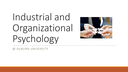# Industrial and Organizational Psychology



@ AUBURN UNIVERSITY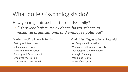### What do I-O Psychologists do?

### How you might describe it to friends/family? ◦*"I-O psychologists use evidence-based science to maximize organizational and employee potential"*

#### Maximizing Employee Potential

Testing and Assessment Selection and Hiring Performance Evaluation Training and Development Employee Motivation Compensation and Benefits

#### Maximizing Organizational Potential

Job Design and Evaluation Workplace Culture and Diversity Technology in the Workplace Strategic Planning Workplace Health Work-Life Programs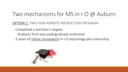## Two mechanisms for MS in I-O @ Auburn

#### **OPTION 1:** TWO YEAR REMOTE INSTRUCTION PROGRAM

- Completed a bachelor's degree
	- Students from any undergraduate institution
- 2 years of online coursework in I-O psychology plus internship

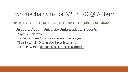### Two mechanisms for MS in I-O @ Auburn

### **OPTION 2:** ACCELERATED BACHELOR/MASTER (ABM) PROGRAM

- ◦Unique to Auburn University Undergraduate Students
	- Apply in Junior year
	- If accepted, take 3 graduate courses in Senior year
	- Then 1 year of I-O coursework plus internship
	- All coursework is traditional face-to-face instruction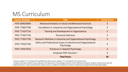### MS Curriculum

| <b>Course Number 1</b> | <b>Title</b>                                                                  | <b>Credit Hours</b> |
|------------------------|-------------------------------------------------------------------------------|---------------------|
| PSYC 6690/6696         | Advanced Analytics in Social and Behavioral Sciences                          | 3                   |
| PSYC 7700/7706         | Foundations in Industrial and Organizational Psychology                       | $\overline{3}$      |
| PSYC 7710/7716         | <b>Training and Development in Organizations</b>                              | $\overline{3}$      |
| PSYC 7720/7726         | <b>Personnel Selection</b>                                                    | $\overline{3}$      |
| PSYC 7730/7736         | Research Methods in Industrial and Organizational Psychology                  | $\overline{3}$      |
| PSYC 7750/7756         | Ethics and Professional Issues in Industrial and Organizational<br>Psychology | $\overline{3}$      |
| PSYC 7910/7916         | Practicum in Applied Psychology                                               | $\overline{3}$      |
|                        | Graduate PSYC Electives <sup>2</sup>                                          | 9                   |
|                        | <b>Total Hours</b>                                                            | 30                  |

 $1$  Courses ending in "0" correspond to the ABM track while courses ending in "6" correspond to the remote track.

<sup>2</sup> Students may select elective courses offered in the Department of Psychological Sciences at the 7000 level and above. Students should consult with the Program Director to make certain that the elective course is suitable for the Master of Science in Industrial and Organizational Psychology degree.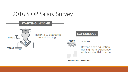### 2016 SIOP Salary Survey

#### **STARTING INCOME**

Master's

\$67,000

Recent I-O graduates report earning...



■ Master's

**EXPERIENCE** 

Beyond one's education, gaining more experience adds substantial income

**PER YEAR OF EXPERIENCE**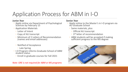# Application Process for ABM in I-O

#### **Junior Year**

- Application Materials
	- Letter of Intent
	- Copy of AU transcript
	- Minimum of 2 Letters of Recommendation (names and email addresses)
	- Notified of Acceptance
		- Late Spring
- I-O Program informs Graduate School of ABM student status
	- Enroll in graduate courses for Fall 2021

#### ◦ Apply online via Department of Psychological Sciences by February 15 ◦ Apply online to the Master's in I-O program via AU Graduate School

◦ Same materials, plus

**Senior Year**

- Official AU transcript
- 3rd letter of recommendation
- ABM students will be accepted if making sufficient progress to the MS degree



*Note: GRE is not required for ABM or MS programs*